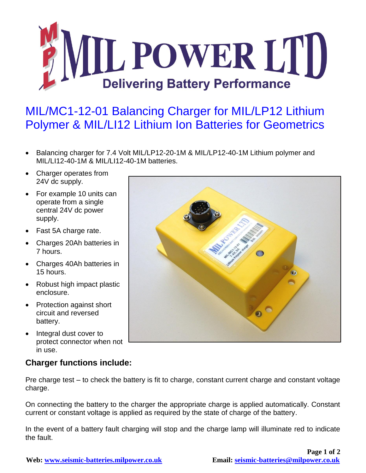

## MIL/MC1-12-01 Balancing Charger for MIL/LP12 Lithium Polymer & MIL/LI12 Lithium Ion Batteries for Geometrics

- Balancing charger for 7.4 Volt MIL/LP12-20-1M & MIL/LP12-40-1M Lithium polymer and MIL/LI12-40-1M & MIL/LI12-40-1M batteries.
- Charger operates from 24V dc supply.
- For example 10 units can operate from a single central 24V dc power supply.
- Fast 5A charge rate.
- Charges 20Ah batteries in 7 hours.
- Charges 40Ah batteries in 15 hours.
- Robust high impact plastic enclosure.
- Protection against short circuit and reversed battery.
- Integral dust cover to protect connector when not in use.

## **Charger functions include:**

Pre charge test – to check the battery is fit to charge, constant current charge and constant voltage charge.

On connecting the battery to the charger the appropriate charge is applied automatically. Constant current or constant voltage is applied as required by the state of charge of the battery.

In the event of a battery fault charging will stop and the charge lamp will illuminate red to indicate the fault.